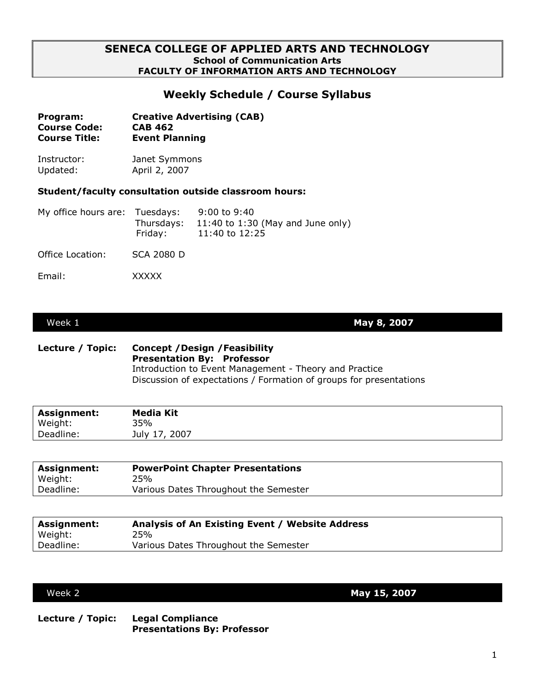## **SENECA COLLEGE OF APPLIED ARTS AND TECHNOLOGY School of Communication Arts FACULTY OF INFORMATION ARTS AND TECHNOLOGY**

# **Weekly Schedule / Course Syllabus**

| Program:             | <b>Creative Advertising (CAB)</b> |
|----------------------|-----------------------------------|
| <b>Course Code:</b>  | <b>CAB 462</b>                    |
| <b>Course Title:</b> | <b>Event Planning</b>             |

Instructor: Janet Symmons Updated: April 2, 2007

### **Student/faculty consultation outside classroom hours:**

| My office hours are: Tuesdays: | Fridav: | 9:00 to 9:40<br>Thursdays: $11:40$ to 1:30 (May and June only)<br>11:40 to 12:25 |
|--------------------------------|---------|----------------------------------------------------------------------------------|
|                                |         |                                                                                  |

Office Location: SCA 2080 D

Email: XXXXX

Week 1 **May 8, 2007**

### **Lecture / Topic: Concept /Design /Feasibility Presentation By: Professor** Introduction to Event Management - Theory and Practice Discussion of expectations / Formation of groups for presentations

| <b>Assignment:</b> | <b>Media Kit</b> |
|--------------------|------------------|
| Weight:            | 35%              |
| Deadline:          | July 17, 2007    |
|                    |                  |

| <b>Assignment:</b> | <b>PowerPoint Chapter Presentations</b> |
|--------------------|-----------------------------------------|
| Weight:            | 25%                                     |
| Deadline:          | Various Dates Throughout the Semester   |
|                    |                                         |

| <b>Assignment:</b> | Analysis of An Existing Event / Website Address |
|--------------------|-------------------------------------------------|
| Weight:            | 25%                                             |
| Deadline:          | Various Dates Throughout the Semester           |

Week 2 **May 15, 2007**

**Lecture / Topic: Legal Compliance Presentations By: Professor**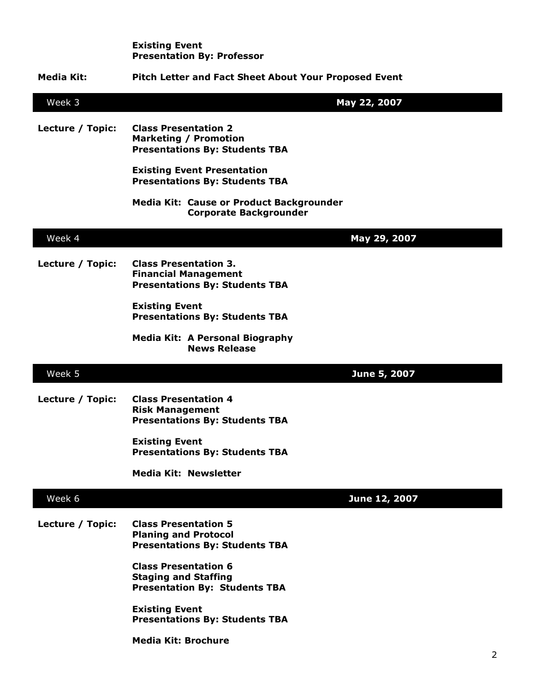|                  | <b>Existing Event</b><br><b>Presentation By: Professor</b>                                           |               |   |
|------------------|------------------------------------------------------------------------------------------------------|---------------|---|
| Media Kit:       | <b>Pitch Letter and Fact Sheet About Your Proposed Event</b>                                         |               |   |
| Week 3           |                                                                                                      | May 22, 2007  |   |
| Lecture / Topic: | <b>Class Presentation 2</b><br><b>Marketing / Promotion</b><br><b>Presentations By: Students TBA</b> |               |   |
|                  | <b>Existing Event Presentation</b><br><b>Presentations By: Students TBA</b>                          |               |   |
|                  | <b>Media Kit: Cause or Product Backgrounder</b><br><b>Corporate Backgrounder</b>                     |               |   |
| Week 4           |                                                                                                      | May 29, 2007  |   |
| Lecture / Topic: | <b>Class Presentation 3.</b><br><b>Financial Management</b><br><b>Presentations By: Students TBA</b> |               |   |
|                  | <b>Existing Event</b><br><b>Presentations By: Students TBA</b>                                       |               |   |
|                  | <b>Media Kit: A Personal Biography</b><br><b>News Release</b>                                        |               |   |
| Week 5           |                                                                                                      | June 5, 2007  |   |
| Lecture / Topic: | <b>Class Presentation 4</b><br><b>Risk Management</b><br><b>Presentations By: Students TBA</b>       |               |   |
|                  | <b>Existing Event</b><br><b>Presentations By: Students TBA</b>                                       |               |   |
|                  | <b>Media Kit: Newsletter</b>                                                                         |               |   |
| Week 6           |                                                                                                      | June 12, 2007 |   |
| Lecture / Topic: | <b>Class Presentation 5</b><br><b>Planing and Protocol</b><br><b>Presentations By: Students TBA</b>  |               |   |
|                  | <b>Class Presentation 6</b><br><b>Staging and Staffing</b><br><b>Presentation By: Students TBA</b>   |               |   |
|                  | <b>Existing Event</b><br><b>Presentations By: Students TBA</b>                                       |               |   |
|                  | <b>Media Kit: Brochure</b>                                                                           |               | 2 |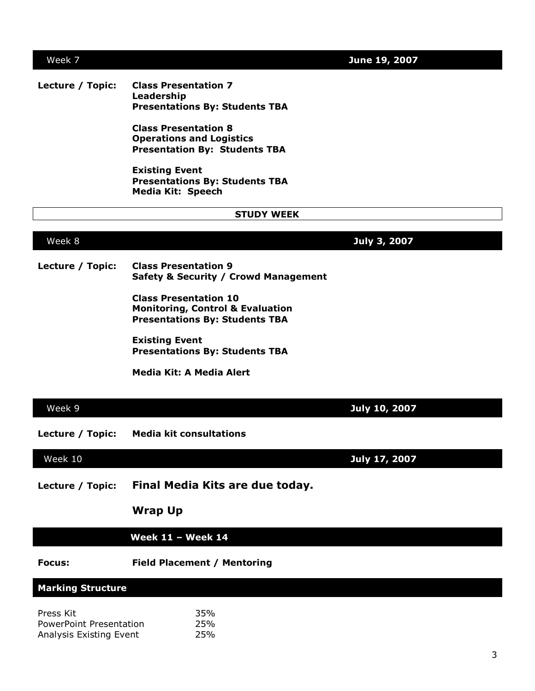## Week 7 **June 19, 2007**

### **Lecture / Topic: Class Presentation 7 Leadership Presentations By: Students TBA**

**Class Presentation 8 Operations and Logistics Presentation By: Students TBA**

**Existing Event Presentations By: Students TBA Media Kit: Speech**

### **STUDY WEEK**

Week 8 **July 3, 2007**

**Lecture / Topic: Class Presentation 9 Safety & Security / Crowd Management**

> **Class Presentation 10 Monitoring, Control & Evaluation Presentations By: Students TBA**

**Existing Event Presentations By: Students TBA**

**Media Kit: A Media Alert**

| Week 9                                                          |                                                   | July 10, 2007        |
|-----------------------------------------------------------------|---------------------------------------------------|----------------------|
| Lecture / Topic:                                                | <b>Media kit consultations</b>                    |                      |
| Week 10                                                         |                                                   | <b>July 17, 2007</b> |
| Lecture / Topic:                                                | Final Media Kits are due today.<br><b>Wrap Up</b> |                      |
|                                                                 |                                                   |                      |
|                                                                 | <b>Week 11 - Week 14</b>                          |                      |
| <b>Focus:</b>                                                   | <b>Field Placement / Mentoring</b>                |                      |
| <b>Marking Structure</b>                                        |                                                   |                      |
| Press Kit<br>PowerPoint Presentation<br>Analysis Existing Event | 35%<br>25%<br>25%                                 |                      |